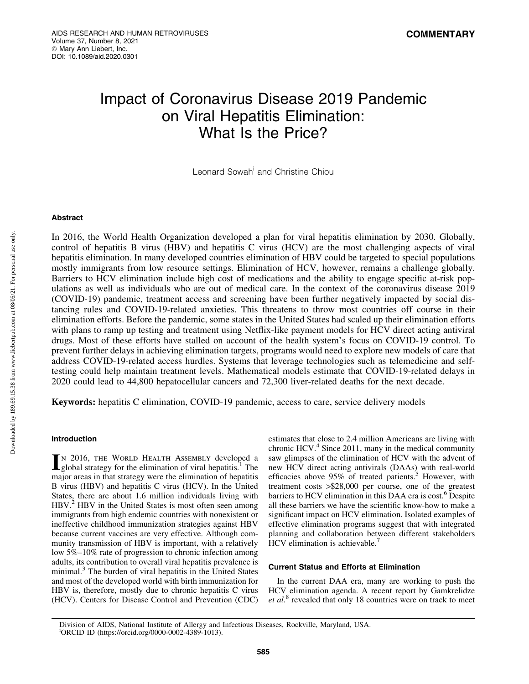# Impact of Coronavirus Disease 2019 Pandemic on Viral Hepatitis Elimination: What Is the Price?

Leonard Sowah<sup>i</sup> and Christine Chiou

# Abstract

In 2016, the World Health Organization developed a plan for viral hepatitis elimination by 2030. Globally, control of hepatitis B virus (HBV) and hepatitis C virus (HCV) are the most challenging aspects of viral hepatitis elimination. In many developed countries elimination of HBV could be targeted to special populations mostly immigrants from low resource settings. Elimination of HCV, however, remains a challenge globally. Barriers to HCV elimination include high cost of medications and the ability to engage specific at-risk populations as well as individuals who are out of medical care. In the context of the coronavirus disease 2019 (COVID-19) pandemic, treatment access and screening have been further negatively impacted by social distancing rules and COVID-19-related anxieties. This threatens to throw most countries off course in their elimination efforts. Before the pandemic, some states in the United States had scaled up their elimination efforts with plans to ramp up testing and treatment using Netflix-like payment models for HCV direct acting antiviral drugs. Most of these efforts have stalled on account of the health system's focus on COVID-19 control. To prevent further delays in achieving elimination targets, programs would need to explore new models of care that address COVID-19-related access hurdles. Systems that leverage technologies such as telemedicine and selftesting could help maintain treatment levels. Mathematical models estimate that COVID-19-related delays in 2020 could lead to 44,800 hepatocellular cancers and 72,300 liver-related deaths for the next decade.

Keywords: hepatitis C elimination, COVID-19 pandemic, access to care, service delivery models

#### Introduction

IN 2016, THE WORLD HEALTH ASSEMBLY developed a global strategy for the elimination of viral hepatitis.<sup>1</sup> The major areas in that strategy were the elimination of hepatitis B virus (HBV) and hepatitis C virus (HCV). In the United States, there are about 1.6 million individuals living with HBV.<sup>2</sup> HBV in the United States is most often seen among immigrants from high endemic countries with nonexistent or ineffective childhood immunization strategies against HBV because current vaccines are very effective. Although community transmission of HBV is important, with a relatively low 5%–10% rate of progression to chronic infection among adults, its contribution to overall viral hepatitis prevalence is minimal.<sup>3</sup> The burden of viral hepatitis in the United States and most of the developed world with birth immunization for HBV is, therefore, mostly due to chronic hepatitis C virus (HCV). Centers for Disease Control and Prevention (CDC) estimates that close to 2.4 million Americans are living with chronic HCV. $4$  Since 2011, many in the medical community saw glimpses of the elimination of HCV with the advent of new HCV direct acting antivirals (DAAs) with real-world efficacies above  $95\%$  of treated patients.<sup>5</sup> However, with treatment costs >\$28,000 per course, one of the greatest barriers to HCV elimination in this DAA era is cost.<sup>6</sup> Despite all these barriers we have the scientific know-how to make a significant impact on HCV elimination. Isolated examples of effective elimination programs suggest that with integrated planning and collaboration between different stakeholders  $HCV$  elimination is achievable.<sup>7</sup>

#### Current Status and Efforts at Elimination

In the current DAA era, many are working to push the HCV elimination agenda. A recent report by Gamkrelidze *et al.*<sup>8</sup> revealed that only 18 countries were on track to meet

Division of AIDS, National Institute of Allergy and Infectious Diseases, Rockville, Maryland, USA. i ORCID ID (https://orcid.org/0000-0002-4389-1013).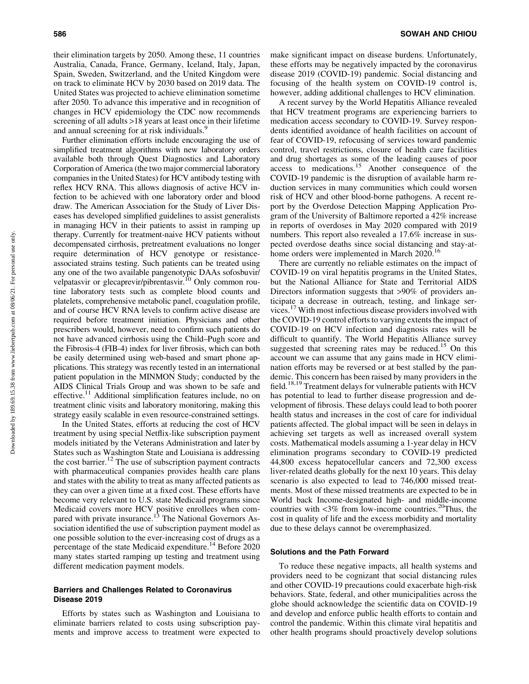their elimination targets by 2050. Among these, 11 countries Australia, Canada, France, Germany, Iceland, Italy, Japan, Spain, Sweden, Switzerland, and the United Kingdom were on track to eliminate HCV by 2030 based on 2019 data. The United States was projected to achieve elimination sometime after 2050. To advance this imperative and in recognition of changes in HCV epidemiology the CDC now recommends screening of all adults >18 years at least once in their lifetime and annual screening for at risk individuals.<sup>9</sup>

Further elimination efforts include encouraging the use of simplified treatment algorithms with new laboratory orders available both through Quest Diagnostics and Laboratory Corporation of America (the two major commercial laboratory companies in the United States) for HCV antibody testing with reflex HCV RNA. This allows diagnosis of active HCV infection to be achieved with one laboratory order and blood draw. The American Association for the Study of Liver Diseases has developed simplified guidelines to assist generalists in managing HCV in their patients to assist in ramping up therapy. Currently for treatment-naive HCV patients without decompensated cirrhosis, pretreatment evaluations no longer require determination of HCV genotype or resistanceassociated strains testing. Such patients can be treated using any one of the two available pangenotypic DAAs sofosbuvir/ velpatasvir or glecaprevir/pibrentasvir.<sup>10</sup> Only common routine laboratory tests such as complete blood counts and platelets, comprehensive metabolic panel, coagulation profile, and of course HCV RNA levels to confirm active disease are required before treatment initiation. Physicians and other prescribers would, however, need to confirm such patients do not have advanced cirrhosis using the Child–Pugh score and the Fibrosis-4 (FIB-4) index for liver fibrosis, which can both be easily determined using web-based and smart phone applications. This strategy was recently tested in an international patient population in the MINMON Study; conducted by the AIDS Clinical Trials Group and was shown to be safe and effective.<sup>11</sup> Additional simplification features include, no on treatment clinic visits and laboratory monitoring, making this strategy easily scalable in even resource-constrained settings.

In the United States, efforts at reducing the cost of HCV treatment by using special Netflix-like subscription payment models initiated by the Veterans Administration and later by States such as Washington State and Louisiana is addressing the cost barrier.<sup>12</sup> The use of subscription payment contracts with pharmaceutical companies provides health care plans and states with the ability to treat as many affected patients as they can over a given time at a fixed cost. These efforts have become very relevant to U.S. state Medicaid programs since Medicaid covers more HCV positive enrollees when compared with private insurance.<sup>13</sup> The National Governors Association identified the use of subscription payment model as one possible solution to the ever-increasing cost of drugs as a percentage of the state Medicaid expenditure.<sup>14</sup> Before 2020 many states started ramping up testing and treatment using different medication payment models.

# Barriers and Challenges Related to Coronavirus Disease 2019

Efforts by states such as Washington and Louisiana to eliminate barriers related to costs using subscription payments and improve access to treatment were expected to make significant impact on disease burdens. Unfortunately, these efforts may be negatively impacted by the coronavirus disease 2019 (COVID-19) pandemic. Social distancing and focusing of the health system on COVID-19 control is, however, adding additional challenges to HCV elimination.

A recent survey by the World Hepatitis Alliance revealed that HCV treatment programs are experiencing barriers to medication access secondary to COVID-19. Survey respondents identified avoidance of health facilities on account of fear of COVID-19, refocusing of services toward pandemic control, travel restrictions, closure of health care facilities and drug shortages as some of the leading causes of poor  $access$  to medications.<sup>15</sup> Another consequence of the COVID-19 pandemic is the disruption of available harm reduction services in many communities which could worsen risk of HCV and other blood-borne pathogens. A recent report by the Overdose Detection Mapping Application Program of the University of Baltimore reported a 42% increase in reports of overdoses in May 2020 compared with 2019 numbers. This report also revealed a 17.6% increase in suspected overdose deaths since social distancing and stay-athome orders were implemented in March 2020.<sup>16</sup>

There are currently no reliable estimates on the impact of COVID-19 on viral hepatitis programs in the United States, but the National Alliance for State and Territorial AIDS Directors information suggests that >90% of providers anticipate a decrease in outreach, testing, and linkage services.<sup>17</sup> With most infectious disease providers involved with the COVID-19 control efforts to varying extents the impact of COVID-19 on HCV infection and diagnosis rates will be difficult to quantify. The World Hepatitis Alliance survey suggested that screening rates may be reduced.<sup>15</sup> On this account we can assume that any gains made in HCV elimination efforts may be reversed or at best stalled by the pandemic. This concern has been raised by many providers in the field.18,19 Treatment delays for vulnerable patients with HCV has potential to lead to further disease progression and development of fibrosis. These delays could lead to both poorer health status and increases in the cost of care for individual patients affected. The global impact will be seen in delays in achieving set targets as well as increased overall system costs. Mathematical models assuming a 1-year delay in HCV elimination programs secondary to COVID-19 predicted 44,800 excess hepatocellular cancers and 72,300 excess liver-related deaths globally for the next 10 years. This delay scenario is also expected to lead to 746,000 missed treatments. Most of these missed treatments are expected to be in World back Income-designated high- and middle-income countries with  $\langle 3\%$  from low-income countries.<sup>20</sup>Thus, the cost in quality of life and the excess morbidity and mortality due to these delays cannot be overemphasized.

# Solutions and the Path Forward

To reduce these negative impacts, all health systems and providers need to be cognizant that social distancing rules and other COVID-19 precautions could exacerbate high-risk behaviors. State, federal, and other municipalities across the globe should acknowledge the scientific data on COVID-19 and develop and enforce public health efforts to contain and control the pandemic. Within this climate viral hepatitis and other health programs should proactively develop solutions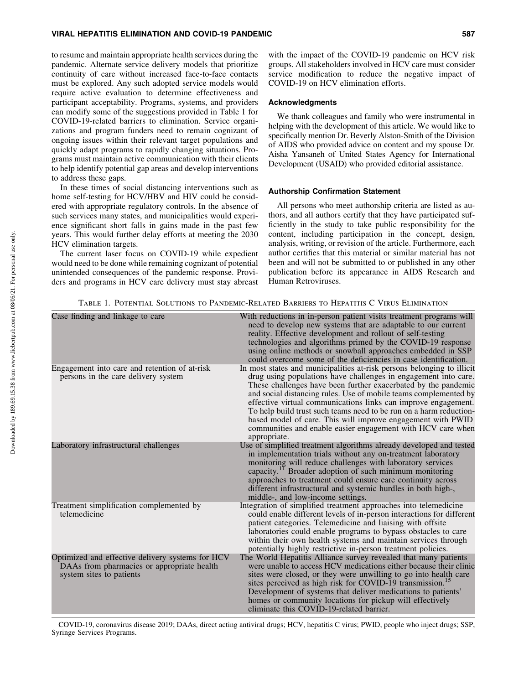# VIRAL HEPATITIS ELIMINATION AND COVID-19 PANDEMIC **SALL AND SET AND SALL AND SALL AND SALL AND SALL AND SALL AND**

to resume and maintain appropriate health services during the pandemic. Alternate service delivery models that prioritize continuity of care without increased face-to-face contacts must be explored. Any such adopted service models would require active evaluation to determine effectiveness and participant acceptability. Programs, systems, and providers can modify some of the suggestions provided in Table 1 for COVID-19-related barriers to elimination. Service organizations and program funders need to remain cognizant of ongoing issues within their relevant target populations and quickly adapt programs to rapidly changing situations. Programs must maintain active communication with their clients to help identify potential gap areas and develop interventions to address these gaps.

In these times of social distancing interventions such as home self-testing for HCV/HBV and HIV could be considered with appropriate regulatory controls. In the absence of such services many states, and municipalities would experience significant short falls in gains made in the past few years. This would further delay efforts at meeting the 2030 HCV elimination targets.

The current laser focus on COVID-19 while expedient would need to be done while remaining cognizant of potential unintended consequences of the pandemic response. Providers and programs in HCV care delivery must stay abreast

## Acknowledgments

We thank colleagues and family who were instrumental in helping with the development of this article. We would like to specifically mention Dr. Beverly Alston-Smith of the Division of AIDS who provided advice on content and my spouse Dr. Aisha Yansaneh of United States Agency for International Development (USAID) who provided editorial assistance.

# Authorship Confirmation Statement

All persons who meet authorship criteria are listed as authors, and all authors certify that they have participated sufficiently in the study to take public responsibility for the content, including participation in the concept, design, analysis, writing, or revision of the article. Furthermore, each author certifies that this material or similar material has not been and will not be submitted to or published in any other publication before its appearance in AIDS Research and Human Retroviruses.

Table 1. Potential Solutions to Pandemic-Related Barriers to Hepatitis C Virus Elimination

| Case finding and linkage to care                                                                                           | With reductions in in-person patient visits treatment programs will<br>need to develop new systems that are adaptable to our current<br>reality. Effective development and rollout of self-testing<br>technologies and algorithms primed by the COVID-19 response<br>using online methods or snowball approaches embedded in SSP<br>could overcome some of the deficiencies in case identification.                                                                                                                                                                   |
|----------------------------------------------------------------------------------------------------------------------------|-----------------------------------------------------------------------------------------------------------------------------------------------------------------------------------------------------------------------------------------------------------------------------------------------------------------------------------------------------------------------------------------------------------------------------------------------------------------------------------------------------------------------------------------------------------------------|
| Engagement into care and retention of at-risk<br>persons in the care delivery system                                       | In most states and municipalities at-risk persons belonging to illicit<br>drug using populations have challenges in engagement into care.<br>These challenges have been further exacerbated by the pandemic<br>and social distancing rules. Use of mobile teams complemented by<br>effective virtual communications links can improve engagement.<br>To help build trust such teams need to be run on a harm reduction-<br>based model of care. This will improve engagement with PWID<br>communities and enable easier engagement with HCV care when<br>appropriate. |
| Laboratory infrastructural challenges                                                                                      | Use of simplified treatment algorithms already developed and tested<br>in implementation trials without any on-treatment laboratory<br>monitoring will reduce challenges with laboratory services<br>capacity. <sup>11</sup> Broader adoption of such minimum monitoring<br>approaches to treatment could ensure care continuity across<br>different infrastructural and systemic hurdles in both high-,<br>middle-, and low-income settings.                                                                                                                         |
| Treatment simplification complemented by<br>telemedicine                                                                   | Integration of simplified treatment approaches into telemedicine<br>could enable different levels of in-person interactions for different<br>patient categories. Telemedicine and liaising with offsite<br>laboratories could enable programs to bypass obstacles to care<br>within their own health systems and maintain services through<br>potentially highly restrictive in-person treatment policies.                                                                                                                                                            |
| Optimized and effective delivery systems for HCV<br>DAAs from pharmacies or appropriate health<br>system sites to patients | The World Hepatitis Alliance survey revealed that many patients<br>were unable to access HCV medications either because their clinic<br>sites were closed, or they were unwilling to go into health care<br>sites perceived as high risk for COVID-19 transmission. <sup>15</sup><br>Development of systems that deliver medications to patients'<br>homes or community locations for pickup will effectively<br>eliminate this COVID-19-related barrier.                                                                                                             |

COVID-19, coronavirus disease 2019; DAAs, direct acting antiviral drugs; HCV, hepatitis C virus; PWID, people who inject drugs; SSP, Syringe Services Programs.